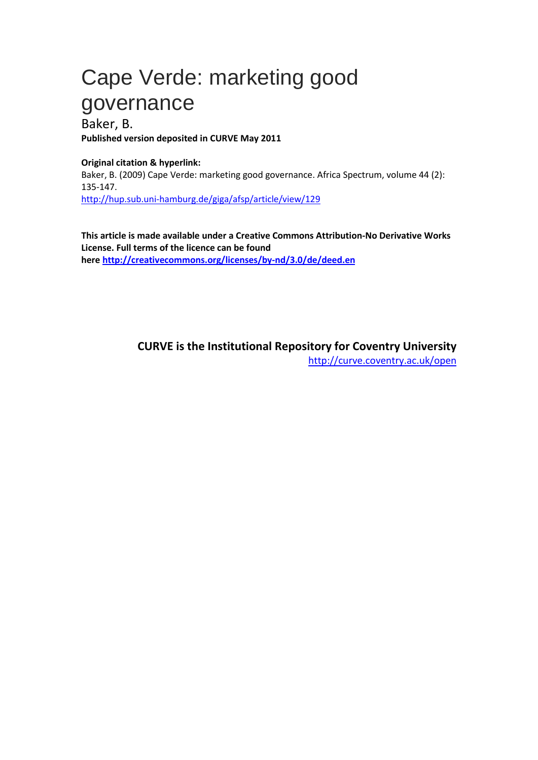# Cape Verde: marketing good governance

# Baker, B.

**Published version deposited in CURVE May 2011**

#### **Original citation & hyperlink:**

Baker, B. (2009) Cape Verde: marketing good governance. Africa Spectrum, volume 44 (2): 135-147.

http://hup.sub.uni-hamburg.de/giga/afsp/article/view/129

**This article is made available under a Creative Commons Attribution-No Derivative Works License. Full terms of the licence can be found here http://creativecommons.org/licenses/by-nd/3.0/de/deed.en**

**CURVE is the Institutional Repository for Coventry University**

http://curve.coventry.ac.uk/open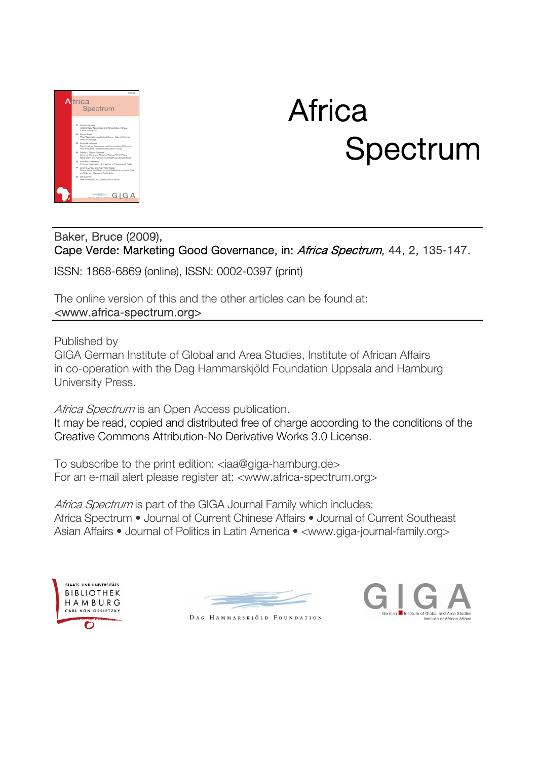

# Spectrum

#### Baker, Bruce (2009), Cape Verde: Marketing Good Governance, in: Africa Spectrum, 44, 2, 135-147.

ISSN: 1868-6869 (online), ISSN: 0002-0397 (print)

The online version of this and the other articles can be found at: <www.africa-spectrum.org>

Published by

GIGA German Institute of Global and Area Studies, Institute of African Affairs in co-operation with the Dag Hammarskjöld Foundation Uppsala and Hamburg University Press.

Africa Spectrum is an Open Access publication. It may be read, copied and distributed free of charge according to the conditions of the Creative Commons Attribution-No Derivative Works 3.0 License.

To subscribe to the print edition: <iaa@giga-hamburg.de> For an e-mail alert please register at: <www.africa-spectrum.org>

Africa Spectrum is part of the GIGA Journal Family which includes: Africa Spectrum • Journal of Current Chinese Affairs • Journal of Current Southeast Asian Affairs • Journal of Politics in Latin America • <www.giga-journal-family.org>







DAG HAMMARSKJÖLD FOUNDATION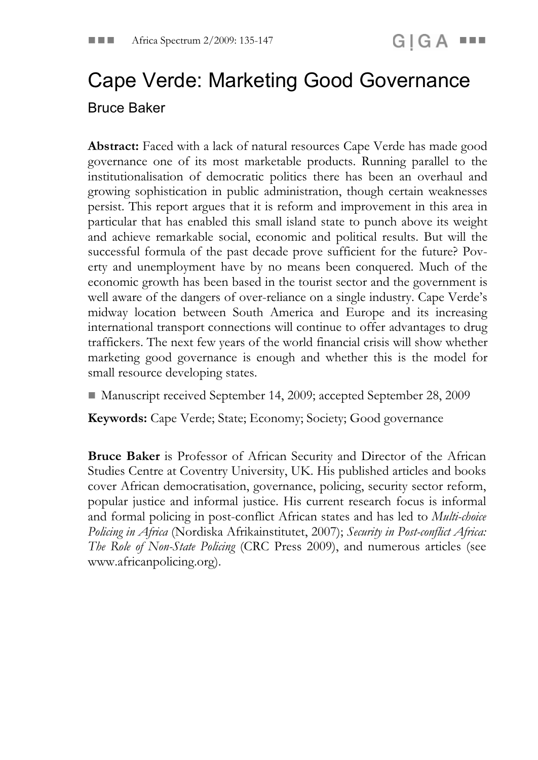# Cape Verde: Marketing Good Governance Bruce Baker

**Abstract:** Faced with a lack of natural resources Cape Verde has made good governance one of its most marketable products. Running parallel to the institutionalisation of democratic politics there has been an overhaul and growing sophistication in public administration, though certain weaknesses persist. This report argues that it is reform and improvement in this area in particular that has enabled this small island state to punch above its weight and achieve remarkable social, economic and political results. But will the successful formula of the past decade prove sufficient for the future? Poverty and unemployment have by no means been conquered. Much of the economic growth has been based in the tourist sector and the government is well aware of the dangers of over-reliance on a single industry. Cape Verde's midway location between South America and Europe and its increasing international transport connections will continue to offer advantages to drug traffickers. The next few years of the world financial crisis will show whether marketing good governance is enough and whether this is the model for small resource developing states.

■ Manuscript received September 14, 2009; accepted September 28, 2009

**Keywords:** Cape Verde; State; Economy; Society; Good governance

**Bruce Baker** is Professor of African Security and Director of the African Studies Centre at Coventry University, UK. His published articles and books cover African democratisation, governance, policing, security sector reform, popular justice and informal justice. His current research focus is informal and formal policing in post-conflict African states and has led to *Multi-choice Policing in Africa* (Nordiska Afrikainstitutet, 2007); *Security in Post-conflict Africa: The Role of Non-State Policing* (CRC Press 2009), and numerous articles (see www.africanpolicing.org).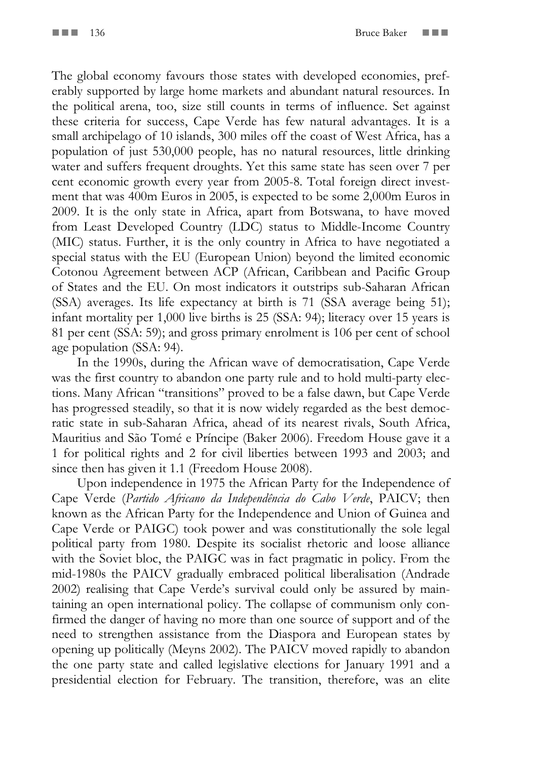The global economy favours those states with developed economies, preferably supported by large home markets and abundant natural resources. In the political arena, too, size still counts in terms of influence. Set against these criteria for success, Cape Verde has few natural advantages. It is a small archipelago of 10 islands, 300 miles off the coast of West Africa, has a population of just 530,000 people, has no natural resources, little drinking water and suffers frequent droughts. Yet this same state has seen over 7 per cent economic growth every year from 2005-8. Total foreign direct investment that was 400m Euros in 2005, is expected to be some 2,000m Euros in 2009. It is the only state in Africa, apart from Botswana, to have moved from Least Developed Country (LDC) status to Middle-Income Country (MIC) status. Further, it is the only country in Africa to have negotiated a special status with the EU (European Union) beyond the limited economic Cotonou Agreement between ACP (African, Caribbean and Pacific Group of States and the EU. On most indicators it outstrips sub-Saharan African (SSA) averages. Its life expectancy at birth is 71 (SSA average being 51); infant mortality per 1,000 live births is 25 (SSA: 94); literacy over 15 years is 81 per cent (SSA: 59); and gross primary enrolment is 106 per cent of school age population (SSA: 94).

In the 1990s, during the African wave of democratisation, Cape Verde was the first country to abandon one party rule and to hold multi-party elections. Many African "transitions" proved to be a false dawn, but Cape Verde has progressed steadily, so that it is now widely regarded as the best democratic state in sub-Saharan Africa, ahead of its nearest rivals, South Africa, Mauritius and São Tomé e Príncipe (Baker 2006). Freedom House gave it a 1 for political rights and 2 for civil liberties between 1993 and 2003; and since then has given it 1.1 (Freedom House 2008).

Upon independence in 1975 the African Party for the Independence of Cape Verde (*Partido Africano da Independência do Cabo Verde*, PAICV; then known as the African Party for the Independence and Union of Guinea and Cape Verde or PAIGC) took power and was constitutionally the sole legal political party from 1980. Despite its socialist rhetoric and loose alliance with the Soviet bloc, the PAIGC was in fact pragmatic in policy. From the mid-1980s the PAICV gradually embraced political liberalisation (Andrade 2002) realising that Cape Verde's survival could only be assured by maintaining an open international policy. The collapse of communism only confirmed the danger of having no more than one source of support and of the need to strengthen assistance from the Diaspora and European states by opening up politically (Meyns 2002). The PAICV moved rapidly to abandon the one party state and called legislative elections for January 1991 and a presidential election for February. The transition, therefore, was an elite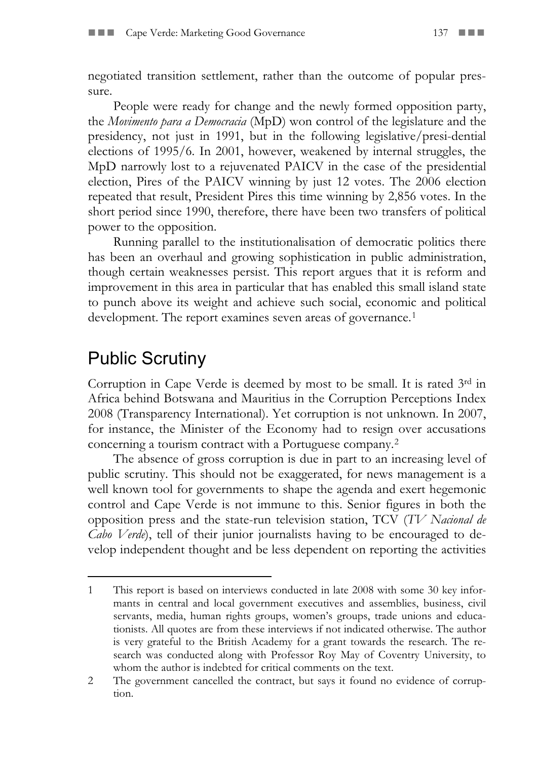negotiated transition settlement, rather than the outcome of popular pressure.

People were ready for change and the newly formed opposition party, the *Movimento para a Democracia* (MpD) won control of the legislature and the presidency, not just in 1991, but in the following legislative/presi-dential elections of 1995/6. In 2001, however, weakened by internal struggles, the MpD narrowly lost to a rejuvenated PAICV in the case of the presidential election, Pires of the PAICV winning by just 12 votes. The 2006 election repeated that result, President Pires this time winning by 2,856 votes. In the short period since 1990, therefore, there have been two transfers of political power to the opposition.

Running parallel to the institutionalisation of democratic politics there has been an overhaul and growing sophistication in public administration, though certain weaknesses persist. This report argues that it is reform and improvement in this area in particular that has enabled this small island state to punch above its weight and achieve such social, economic and political development. The report examines seven areas of governance.<sup>1</sup>

#### Public Scrutiny

 $\overline{a}$ 

Corruption in Cape Verde is deemed by most to be small. It is rated 3rd in Africa behind Botswana and Mauritius in the Corruption Perceptions Index 2008 (Transparency International). Yet corruption is not unknown. In 2007, for instance, the Minister of the Economy had to resign over accusations concerning a tourism contract with a Portuguese company.2

The absence of gross corruption is due in part to an increasing level of public scrutiny. This should not be exaggerated, for news management is a well known tool for governments to shape the agenda and exert hegemonic control and Cape Verde is not immune to this. Senior figures in both the opposition press and the state-run television station, TCV (*TV Nacional de Cabo Verde*), tell of their junior journalists having to be encouraged to develop independent thought and be less dependent on reporting the activities

<sup>1</sup> This report is based on interviews conducted in late 2008 with some 30 key informants in central and local government executives and assemblies, business, civil servants, media, human rights groups, women's groups, trade unions and educationists. All quotes are from these interviews if not indicated otherwise. The author is very grateful to the British Academy for a grant towards the research. The research was conducted along with Professor Roy May of Coventry University, to whom the author is indebted for critical comments on the text.

<sup>2</sup> The government cancelled the contract, but says it found no evidence of corruption.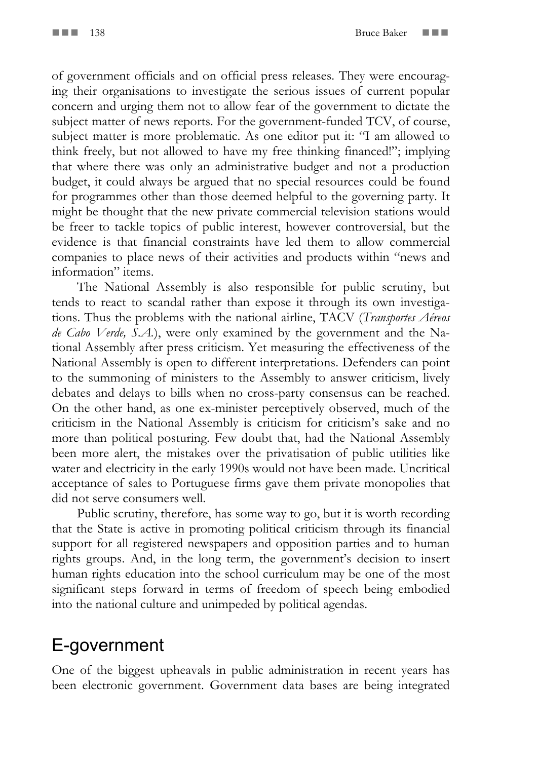of government officials and on official press releases. They were encouraging their organisations to investigate the serious issues of current popular concern and urging them not to allow fear of the government to dictate the subject matter of news reports. For the government-funded TCV, of course, subject matter is more problematic. As one editor put it: "I am allowed to think freely, but not allowed to have my free thinking financed!"; implying that where there was only an administrative budget and not a production budget, it could always be argued that no special resources could be found for programmes other than those deemed helpful to the governing party. It might be thought that the new private commercial television stations would be freer to tackle topics of public interest, however controversial, but the evidence is that financial constraints have led them to allow commercial companies to place news of their activities and products within "news and information" items.

The National Assembly is also responsible for public scrutiny, but tends to react to scandal rather than expose it through its own investigations. Thus the problems with the national airline, TACV (*Transportes Aéreos de Cabo Verde, S.A.*), were only examined by the government and the National Assembly after press criticism. Yet measuring the effectiveness of the National Assembly is open to different interpretations. Defenders can point to the summoning of ministers to the Assembly to answer criticism, lively debates and delays to bills when no cross-party consensus can be reached. On the other hand, as one ex-minister perceptively observed, much of the criticism in the National Assembly is criticism for criticism's sake and no more than political posturing. Few doubt that, had the National Assembly been more alert, the mistakes over the privatisation of public utilities like water and electricity in the early 1990s would not have been made. Uncritical acceptance of sales to Portuguese firms gave them private monopolies that did not serve consumers well.

Public scrutiny, therefore, has some way to go, but it is worth recording that the State is active in promoting political criticism through its financial support for all registered newspapers and opposition parties and to human rights groups. And, in the long term, the government's decision to insert human rights education into the school curriculum may be one of the most significant steps forward in terms of freedom of speech being embodied into the national culture and unimpeded by political agendas.

#### E-government

One of the biggest upheavals in public administration in recent years has been electronic government. Government data bases are being integrated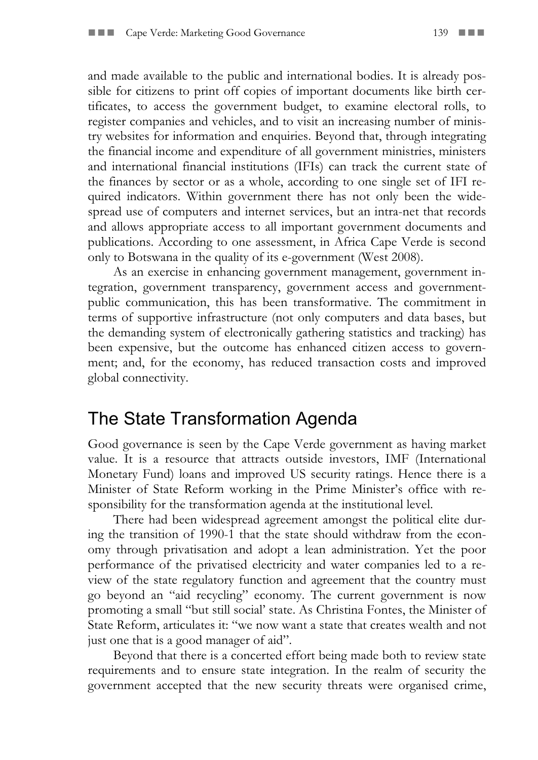and made available to the public and international bodies. It is already possible for citizens to print off copies of important documents like birth certificates, to access the government budget, to examine electoral rolls, to register companies and vehicles, and to visit an increasing number of ministry websites for information and enquiries. Beyond that, through integrating the financial income and expenditure of all government ministries, ministers and international financial institutions (IFIs) can track the current state of the finances by sector or as a whole, according to one single set of IFI required indicators. Within government there has not only been the widespread use of computers and internet services, but an intra-net that records and allows appropriate access to all important government documents and publications. According to one assessment, in Africa Cape Verde is second only to Botswana in the quality of its e-government (West 2008).

As an exercise in enhancing government management, government integration, government transparency, government access and governmentpublic communication, this has been transformative. The commitment in terms of supportive infrastructure (not only computers and data bases, but the demanding system of electronically gathering statistics and tracking) has been expensive, but the outcome has enhanced citizen access to government; and, for the economy, has reduced transaction costs and improved global connectivity.

#### The State Transformation Agenda

Good governance is seen by the Cape Verde government as having market value. It is a resource that attracts outside investors, IMF (International Monetary Fund) loans and improved US security ratings. Hence there is a Minister of State Reform working in the Prime Minister's office with responsibility for the transformation agenda at the institutional level.

There had been widespread agreement amongst the political elite during the transition of 1990-1 that the state should withdraw from the economy through privatisation and adopt a lean administration. Yet the poor performance of the privatised electricity and water companies led to a review of the state regulatory function and agreement that the country must go beyond an "aid recycling" economy. The current government is now promoting a small "but still social' state. As Christina Fontes, the Minister of State Reform, articulates it: "we now want a state that creates wealth and not just one that is a good manager of aid".

Beyond that there is a concerted effort being made both to review state requirements and to ensure state integration. In the realm of security the government accepted that the new security threats were organised crime,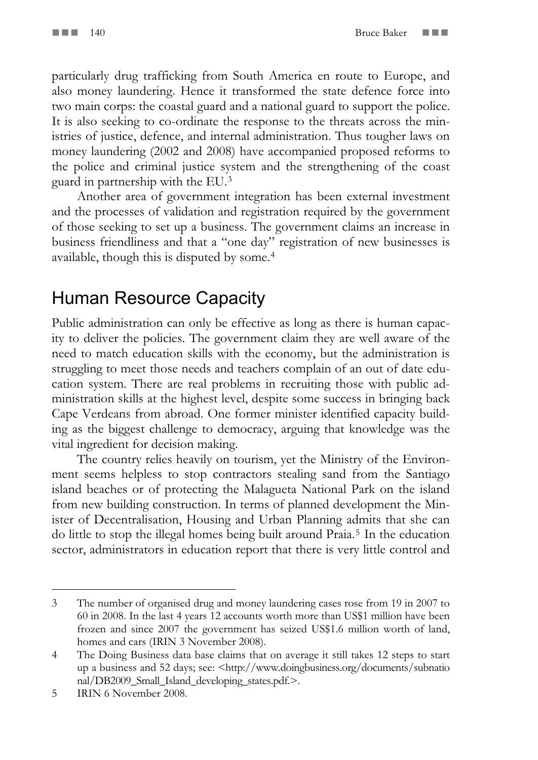particularly drug trafficking from South America en route to Europe, and also money laundering. Hence it transformed the state defence force into two main corps: the coastal guard and a national guard to support the police. It is also seeking to co-ordinate the response to the threats across the ministries of justice, defence, and internal administration. Thus tougher laws on money laundering (2002 and 2008) have accompanied proposed reforms to the police and criminal justice system and the strengthening of the coast guard in partnership with the EU.3

Another area of government integration has been external investment and the processes of validation and registration required by the government of those seeking to set up a business. The government claims an increase in business friendliness and that a "one day" registration of new businesses is available, though this is disputed by some.4

#### Human Resource Capacity

Public administration can only be effective as long as there is human capacity to deliver the policies. The government claim they are well aware of the need to match education skills with the economy, but the administration is struggling to meet those needs and teachers complain of an out of date education system. There are real problems in recruiting those with public administration skills at the highest level, despite some success in bringing back Cape Verdeans from abroad. One former minister identified capacity building as the biggest challenge to democracy, arguing that knowledge was the vital ingredient for decision making.

The country relies heavily on tourism, yet the Ministry of the Environment seems helpless to stop contractors stealing sand from the Santiago island beaches or of protecting the Malagueta National Park on the island from new building construction. In terms of planned development the Minister of Decentralisation, Housing and Urban Planning admits that she can do little to stop the illegal homes being built around Praia.5 In the education sector, administrators in education report that there is very little control and

<sup>3</sup> The number of organised drug and money laundering cases rose from 19 in 2007 to 60 in 2008. In the last 4 years 12 accounts worth more than US\$1 million have been frozen and since 2007 the government has seized US\$1.6 million worth of land, homes and cars (IRIN 3 November 2008).

<sup>4</sup> The Doing Business data base claims that on average it still takes 12 steps to start up a business and 52 days; see: <http://www.doingbusiness.org/documents/subnatio nal/DB2009\_Small\_Island\_developing\_states.pdf.>.

<sup>5</sup> IRIN 6 November 2008.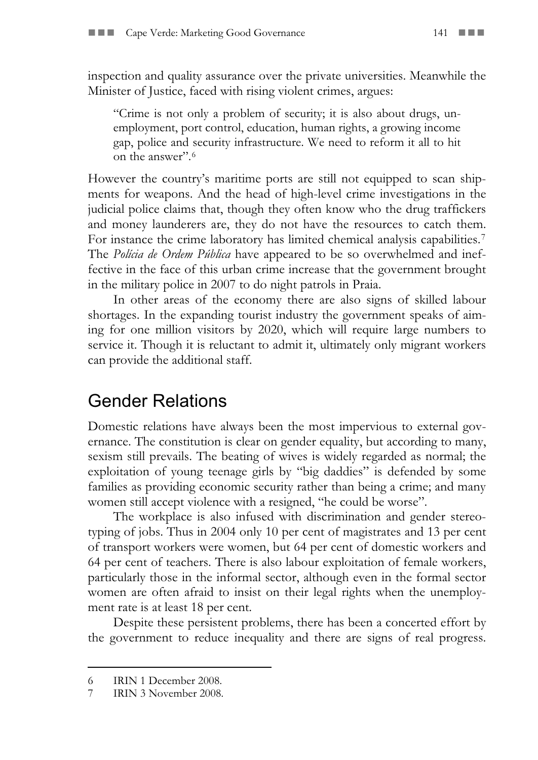inspection and quality assurance over the private universities. Meanwhile the Minister of Justice, faced with rising violent crimes, argues:

"Crime is not only a problem of security; it is also about drugs, unemployment, port control, education, human rights, a growing income gap, police and security infrastructure. We need to reform it all to hit on the answer".6

However the country's maritime ports are still not equipped to scan shipments for weapons. And the head of high-level crime investigations in the judicial police claims that, though they often know who the drug traffickers and money launderers are, they do not have the resources to catch them. For instance the crime laboratory has limited chemical analysis capabilities.<sup>7</sup> The *Polícia de Ordem Pública* have appeared to be so overwhelmed and ineffective in the face of this urban crime increase that the government brought in the military police in 2007 to do night patrols in Praia.

In other areas of the economy there are also signs of skilled labour shortages. In the expanding tourist industry the government speaks of aiming for one million visitors by 2020, which will require large numbers to service it. Though it is reluctant to admit it, ultimately only migrant workers can provide the additional staff.

#### Gender Relations

Domestic relations have always been the most impervious to external governance. The constitution is clear on gender equality, but according to many, sexism still prevails. The beating of wives is widely regarded as normal; the exploitation of young teenage girls by "big daddies" is defended by some families as providing economic security rather than being a crime; and many women still accept violence with a resigned, "he could be worse".

The workplace is also infused with discrimination and gender stereotyping of jobs. Thus in 2004 only 10 per cent of magistrates and 13 per cent of transport workers were women, but 64 per cent of domestic workers and 64 per cent of teachers. There is also labour exploitation of female workers, particularly those in the informal sector, although even in the formal sector women are often afraid to insist on their legal rights when the unemployment rate is at least 18 per cent.

Despite these persistent problems, there has been a concerted effort by the government to reduce inequality and there are signs of real progress.

<sup>6</sup> IRIN 1 December 2008.<br>7 IRIN 3 November 2008.

<sup>7</sup> IRIN 3 November 2008.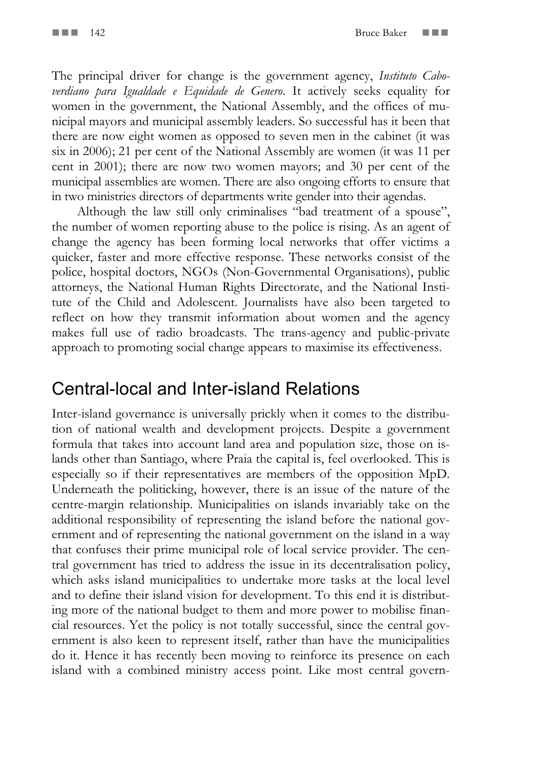The principal driver for change is the government agency, *Instituto Caboverdiano para Igualdade e Equidade de Genero*. It actively seeks equality for women in the government, the National Assembly, and the offices of municipal mayors and municipal assembly leaders. So successful has it been that there are now eight women as opposed to seven men in the cabinet (it was six in 2006); 21 per cent of the National Assembly are women (it was 11 per cent in 2001); there are now two women mayors; and 30 per cent of the municipal assemblies are women. There are also ongoing efforts to ensure that in two ministries directors of departments write gender into their agendas.

Although the law still only criminalises "bad treatment of a spouse", the number of women reporting abuse to the police is rising. As an agent of change the agency has been forming local networks that offer victims a quicker, faster and more effective response. These networks consist of the police, hospital doctors, NGOs (Non-Governmental Organisations), public attorneys, the National Human Rights Directorate, and the National Institute of the Child and Adolescent. Journalists have also been targeted to reflect on how they transmit information about women and the agency makes full use of radio broadcasts. The trans-agency and public-private approach to promoting social change appears to maximise its effectiveness.

#### Central-local and Inter-island Relations

Inter-island governance is universally prickly when it comes to the distribution of national wealth and development projects. Despite a government formula that takes into account land area and population size, those on islands other than Santiago, where Praia the capital is, feel overlooked. This is especially so if their representatives are members of the opposition MpD. Underneath the politicking, however, there is an issue of the nature of the centre-margin relationship. Municipalities on islands invariably take on the additional responsibility of representing the island before the national government and of representing the national government on the island in a way that confuses their prime municipal role of local service provider. The central government has tried to address the issue in its decentralisation policy, which asks island municipalities to undertake more tasks at the local level and to define their island vision for development. To this end it is distributing more of the national budget to them and more power to mobilise financial resources. Yet the policy is not totally successful, since the central government is also keen to represent itself, rather than have the municipalities do it. Hence it has recently been moving to reinforce its presence on each island with a combined ministry access point. Like most central govern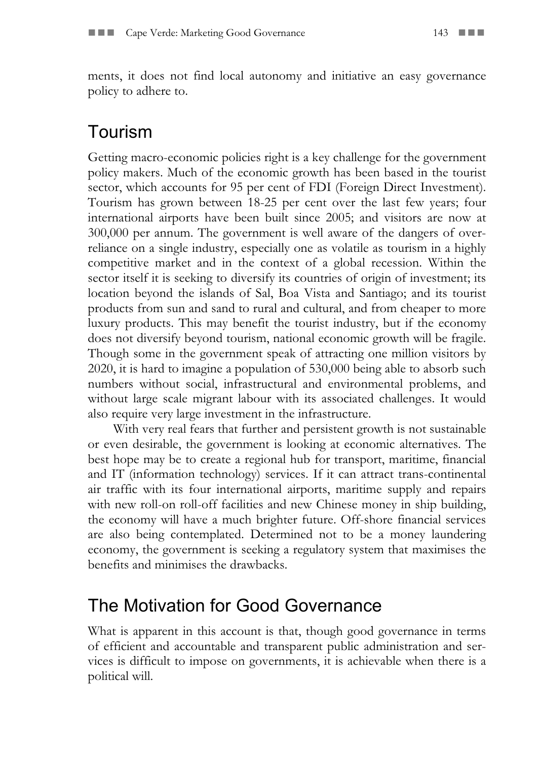ments, it does not find local autonomy and initiative an easy governance policy to adhere to.

# Tourism

Getting macro-economic policies right is a key challenge for the government policy makers. Much of the economic growth has been based in the tourist sector, which accounts for 95 per cent of FDI (Foreign Direct Investment). Tourism has grown between 18-25 per cent over the last few years; four international airports have been built since 2005; and visitors are now at 300,000 per annum. The government is well aware of the dangers of overreliance on a single industry, especially one as volatile as tourism in a highly competitive market and in the context of a global recession. Within the sector itself it is seeking to diversify its countries of origin of investment; its location beyond the islands of Sal, Boa Vista and Santiago; and its tourist products from sun and sand to rural and cultural, and from cheaper to more luxury products. This may benefit the tourist industry, but if the economy does not diversify beyond tourism, national economic growth will be fragile. Though some in the government speak of attracting one million visitors by 2020, it is hard to imagine a population of 530,000 being able to absorb such numbers without social, infrastructural and environmental problems, and without large scale migrant labour with its associated challenges. It would also require very large investment in the infrastructure.

With very real fears that further and persistent growth is not sustainable or even desirable, the government is looking at economic alternatives. The best hope may be to create a regional hub for transport, maritime, financial and IT (information technology) services. If it can attract trans-continental air traffic with its four international airports, maritime supply and repairs with new roll-on roll-off facilities and new Chinese money in ship building, the economy will have a much brighter future. Off-shore financial services are also being contemplated. Determined not to be a money laundering economy, the government is seeking a regulatory system that maximises the benefits and minimises the drawbacks.

### The Motivation for Good Governance

What is apparent in this account is that, though good governance in terms of efficient and accountable and transparent public administration and services is difficult to impose on governments, it is achievable when there is a political will.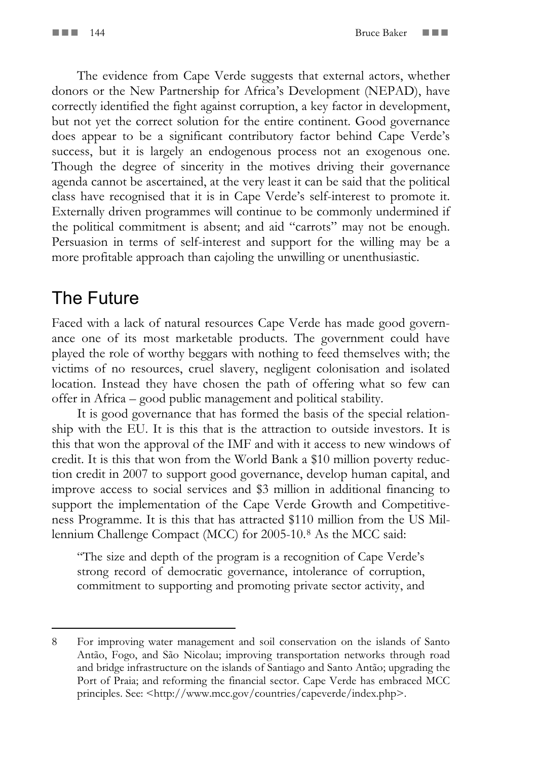The evidence from Cape Verde suggests that external actors, whether donors or the New Partnership for Africa's Development (NEPAD), have correctly identified the fight against corruption, a key factor in development, but not yet the correct solution for the entire continent. Good governance does appear to be a significant contributory factor behind Cape Verde's success, but it is largely an endogenous process not an exogenous one. Though the degree of sincerity in the motives driving their governance agenda cannot be ascertained, at the very least it can be said that the political class have recognised that it is in Cape Verde's self-interest to promote it. Externally driven programmes will continue to be commonly undermined if the political commitment is absent; and aid "carrots" may not be enough. Persuasion in terms of self-interest and support for the willing may be a more profitable approach than cajoling the unwilling or unenthusiastic.

#### The Future

 $\overline{a}$ 

Faced with a lack of natural resources Cape Verde has made good governance one of its most marketable products. The government could have played the role of worthy beggars with nothing to feed themselves with; the victims of no resources, cruel slavery, negligent colonisation and isolated location. Instead they have chosen the path of offering what so few can offer in Africa – good public management and political stability.

It is good governance that has formed the basis of the special relationship with the EU. It is this that is the attraction to outside investors. It is this that won the approval of the IMF and with it access to new windows of credit. It is this that won from the World Bank a \$10 million poverty reduction credit in 2007 to support good governance, develop human capital, and improve access to social services and \$3 million in additional financing to support the implementation of the Cape Verde Growth and Competitiveness Programme. It is this that has attracted \$110 million from the US Millennium Challenge Compact (MCC) for 2005-10.8 As the MCC said:

"The size and depth of the program is a recognition of Cape Verde's strong record of democratic governance, intolerance of corruption, commitment to supporting and promoting private sector activity, and

<sup>8</sup> For improving water management and soil conservation on the islands of Santo Antão, Fogo, and São Nicolau; improving transportation networks through road and bridge infrastructure on the islands of Santiago and Santo Antão; upgrading the Port of Praia; and reforming the financial sector. Cape Verde has embraced MCC principles. See: <http://www.mcc.gov/countries/capeverde/index.php>.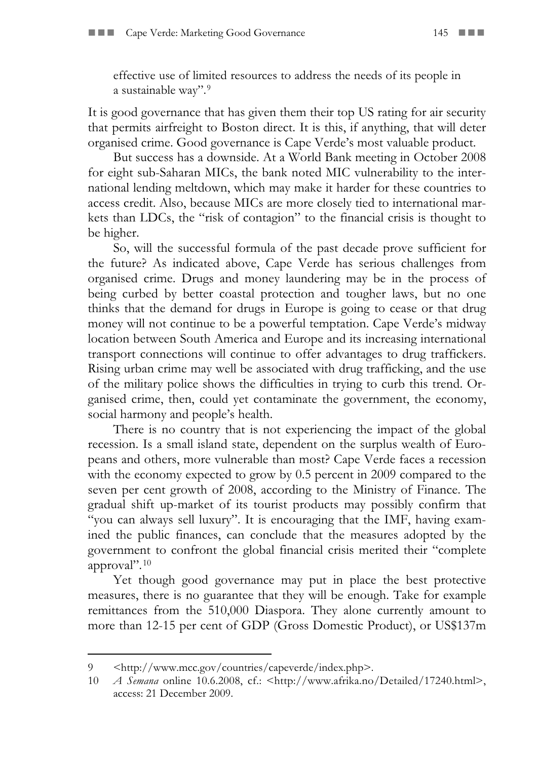effective use of limited resources to address the needs of its people in a sustainable way".9

It is good governance that has given them their top US rating for air security that permits airfreight to Boston direct. It is this, if anything, that will deter organised crime. Good governance is Cape Verde's most valuable product.

But success has a downside. At a World Bank meeting in October 2008 for eight sub-Saharan MICs, the bank noted MIC vulnerability to the international lending meltdown, which may make it harder for these countries to access credit. Also, because MICs are more closely tied to international markets than LDCs, the "risk of contagion" to the financial crisis is thought to be higher.

So, will the successful formula of the past decade prove sufficient for the future? As indicated above, Cape Verde has serious challenges from organised crime. Drugs and money laundering may be in the process of being curbed by better coastal protection and tougher laws, but no one thinks that the demand for drugs in Europe is going to cease or that drug money will not continue to be a powerful temptation. Cape Verde's midway location between South America and Europe and its increasing international transport connections will continue to offer advantages to drug traffickers. Rising urban crime may well be associated with drug trafficking, and the use of the military police shows the difficulties in trying to curb this trend. Organised crime, then, could yet contaminate the government, the economy, social harmony and people's health.

There is no country that is not experiencing the impact of the global recession. Is a small island state, dependent on the surplus wealth of Europeans and others, more vulnerable than most? Cape Verde faces a recession with the economy expected to grow by 0.5 percent in 2009 compared to the seven per cent growth of 2008, according to the Ministry of Finance. The gradual shift up-market of its tourist products may possibly confirm that "you can always sell luxury". It is encouraging that the IMF, having examined the public finances, can conclude that the measures adopted by the government to confront the global financial crisis merited their "complete approval".10

Yet though good governance may put in place the best protective measures, there is no guarantee that they will be enough. Take for example remittances from the 510,000 Diaspora. They alone currently amount to more than 12-15 per cent of GDP (Gross Domestic Product), or US\$137m

<sup>9 &</sup>lt;http://www.mcc.gov/countries/capeverde/index.php>.

<sup>10</sup> *A Semana* online 10.6.2008, cf.: <http://www.afrika.no/Detailed/17240.html>, access: 21 December 2009.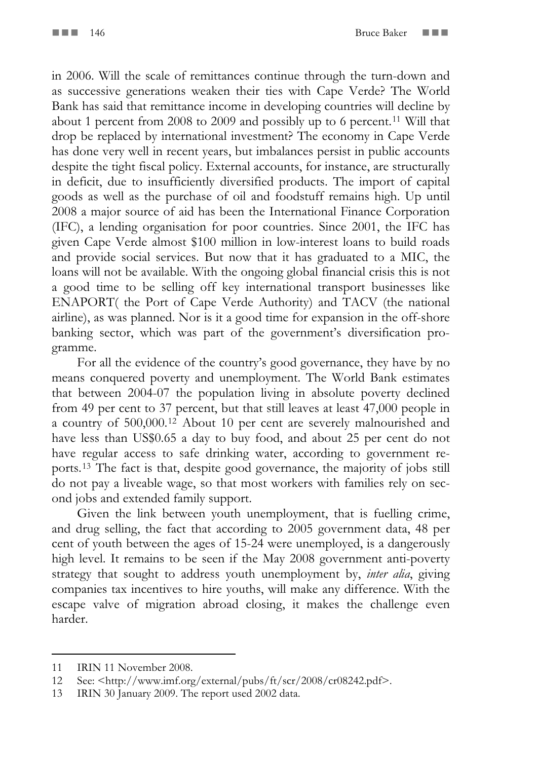in 2006. Will the scale of remittances continue through the turn-down and as successive generations weaken their ties with Cape Verde? The World Bank has said that remittance income in developing countries will decline by about 1 percent from 2008 to 2009 and possibly up to 6 percent.11 Will that drop be replaced by international investment? The economy in Cape Verde has done very well in recent years, but imbalances persist in public accounts despite the tight fiscal policy. External accounts, for instance, are structurally in deficit, due to insufficiently diversified products. The import of capital goods as well as the purchase of oil and foodstuff remains high. Up until 2008 a major source of aid has been the International Finance Corporation (IFC), a lending organisation for poor countries. Since 2001, the IFC has given Cape Verde almost \$100 million in low-interest loans to build roads and provide social services. But now that it has graduated to a MIC, the loans will not be available. With the ongoing global financial crisis this is not a good time to be selling off key international transport businesses like ENAPORT( the Port of Cape Verde Authority) and TACV (the national airline), as was planned. Nor is it a good time for expansion in the off-shore banking sector, which was part of the government's diversification programme.

For all the evidence of the country's good governance, they have by no means conquered poverty and unemployment. The World Bank estimates that between 2004-07 the population living in absolute poverty declined from 49 per cent to 37 percent, but that still leaves at least 47,000 people in a country of 500,000.12 About 10 per cent are severely malnourished and have less than US\$0.65 a day to buy food, and about 25 per cent do not have regular access to safe drinking water, according to government reports.13 The fact is that, despite good governance, the majority of jobs still do not pay a liveable wage, so that most workers with families rely on second jobs and extended family support.

Given the link between youth unemployment, that is fuelling crime, and drug selling, the fact that according to 2005 government data, 48 per cent of youth between the ages of 15-24 were unemployed, is a dangerously high level. It remains to be seen if the May 2008 government anti-poverty strategy that sought to address youth unemployment by, *inter alia*, giving companies tax incentives to hire youths, will make any difference. With the escape valve of migration abroad closing, it makes the challenge even harder.

<sup>11</sup> IRIN 11 November 2008.

<sup>12</sup> See: <http://www.imf.org/external/pubs/ft/scr/2008/cr08242.pdf>.

<sup>13</sup> IRIN 30 January 2009. The report used 2002 data.